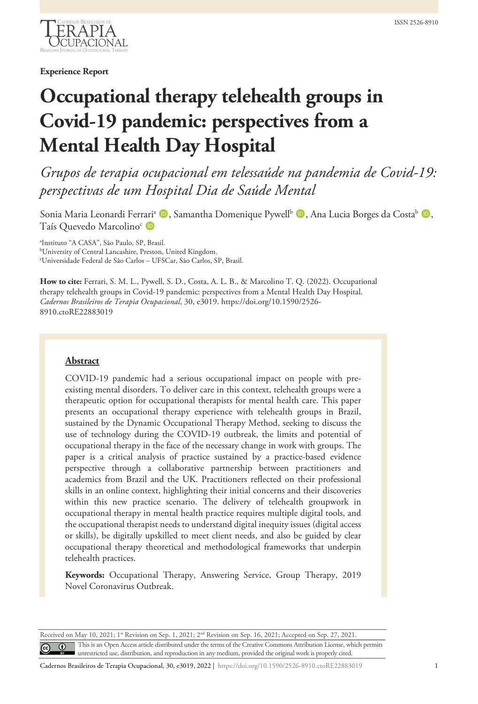

**Experience Report**

# **Occupational therapy telehealth groups in Covid-19 pandemic: perspectives from a Mental Health Day Hospital**

*Grupos de terapia ocupacional em telessaúde na pandemia de Covid-19: perspectivas de um Hospital Dia de Saúde Mental*

Sonia Maria Leonardi Ferrari<sup>a</sup> (D), Samantha Domenique Pywell<sup>b</sup> (D), Ana Lucia Borges da Costa<sup>b</sup> (D), Taís Ouevedo Marcolino<sup>c</sup> D

a Instituto "A CASA", São Paulo, SP, Brasil. b University of Central Lancashire, Preston, United Kingdom. c Universidade Federal de São Carlos – UFSCar, São Carlos, SP, Brasil.

**How to cite:** Ferrari, S. M. L., Pywell, S. D., Costa, A. L. B., & Marcolino T. Q. (2022). Occupational therapy telehealth groups in Covid-19 pandemic: perspectives from a Mental Health Day Hospital. *Cadernos Brasileiros de Terapia Ocupacional*, 30, e3019. https://doi.org/10.1590/2526- 8910.ctoRE22883019

## **Abstract**

COVID-19 pandemic had a serious occupational impact on people with preexisting mental disorders. To deliver care in this context, telehealth groups were a therapeutic option for occupational therapists for mental health care. This paper presents an occupational therapy experience with telehealth groups in Brazil, sustained by the Dynamic Occupational Therapy Method, seeking to discuss the use of technology during the COVID-19 outbreak, the limits and potential of occupational therapy in the face of the necessary change in work with groups. The paper is a critical analysis of practice sustained by a practice-based evidence perspective through a collaborative partnership between practitioners and academics from Brazil and the UK. Practitioners reflected on their professional skills in an online context, highlighting their initial concerns and their discoveries within this new practice scenario. The delivery of telehealth groupwork in occupational therapy in mental health practice requires multiple digital tools, and the occupational therapist needs to understand digital inequity issues (digital access or skills), be digitally upskilled to meet client needs, and also be guided by clear occupational therapy theoretical and methodological frameworks that underpin telehealth practices.

**Keywords:** Occupational Therapy, Answering Service, Group Therapy, 2019 Novel Coronavirus Outbreak.

Received on May 10, 2021; 1<sup>st</sup> Revision on Sep. 1, 2021; 2<sup>nd</sup> Revision on Sep. 16, 2021; Accepted on Sep. 27, 2021. This is an Open Access article distributed under the terms of the Creative Commons Attribution License, which permits  $\odot$ unrestricted use, distribution, and reproduction in any medium, provided the original work is properly cited.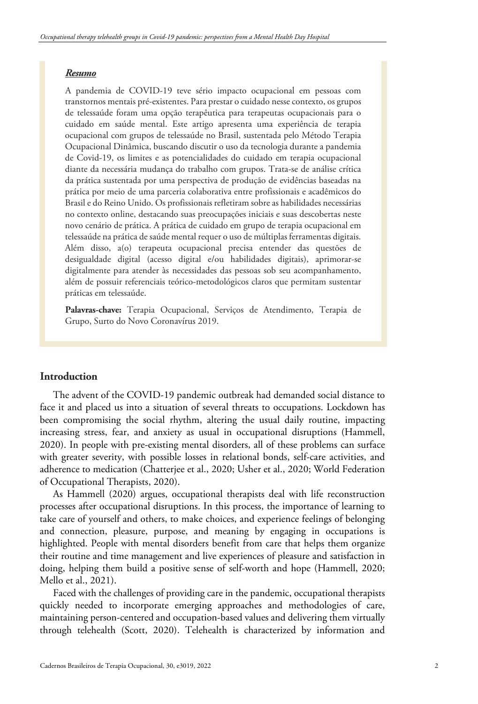#### *Resumo*

A pandemia de COVID-19 teve sério impacto ocupacional em pessoas com transtornos mentais pré-existentes. Para prestar o cuidado nesse contexto, os grupos de telessaúde foram uma opção terapêutica para terapeutas ocupacionais para o cuidado em saúde mental. Este artigo apresenta uma experiência de terapia ocupacional com grupos de telessaúde no Brasil, sustentada pelo Método Terapia Ocupacional Dinâmica, buscando discutir o uso da tecnologia durante a pandemia de Covid-19, os limites e as potencialidades do cuidado em terapia ocupacional diante da necessária mudança do trabalho com grupos. Trata-se de análise crítica da prática sustentada por uma perspectiva de produção de evidências baseadas na prática por meio de uma parceria colaborativa entre profissionais e acadêmicos do Brasil e do Reino Unido. Os profissionais refletiram sobre as habilidades necessárias no contexto online, destacando suas preocupações iniciais e suas descobertas neste novo cenário de prática. A prática de cuidado em grupo de terapia ocupacional em telessaúde na prática de saúde mental requer o uso de múltiplas ferramentas digitais. Além disso, a(o) terapeuta ocupacional precisa entender das questões de desigualdade digital (acesso digital e/ou habilidades digitais), aprimorar-se digitalmente para atender às necessidades das pessoas sob seu acompanhamento, além de possuir referenciais teórico-metodológicos claros que permitam sustentar práticas em telessaúde.

**Palavras-chave:** Terapia Ocupacional, Serviços de Atendimento, Terapia de Grupo, Surto do Novo Coronavírus 2019.

# **Introduction**

The advent of the COVID-19 pandemic outbreak had demanded social distance to face it and placed us into a situation of several threats to occupations. Lockdown has been compromising the social rhythm, altering the usual daily routine, impacting increasing stress, fear, and anxiety as usual in occupational disruptions (Hammell, 2020). In people with pre-existing mental disorders, all of these problems can surface with greater severity, with possible losses in relational bonds, self-care activities, and adherence to medication (Chatterjee et al., 2020; Usher et al., 2020; World Federation of Occupational Therapists, 2020).

As Hammell (2020) argues, occupational therapists deal with life reconstruction processes after occupational disruptions. In this process, the importance of learning to take care of yourself and others, to make choices, and experience feelings of belonging and connection, pleasure, purpose, and meaning by engaging in occupations is highlighted. People with mental disorders benefit from care that helps them organize their routine and time management and live experiences of pleasure and satisfaction in doing, helping them build a positive sense of self-worth and hope (Hammell, 2020; Mello et al., 2021).

Faced with the challenges of providing care in the pandemic, occupational therapists quickly needed to incorporate emerging approaches and methodologies of care, maintaining person-centered and occupation-based values and delivering them virtually through telehealth (Scott, 2020). Telehealth is characterized by information and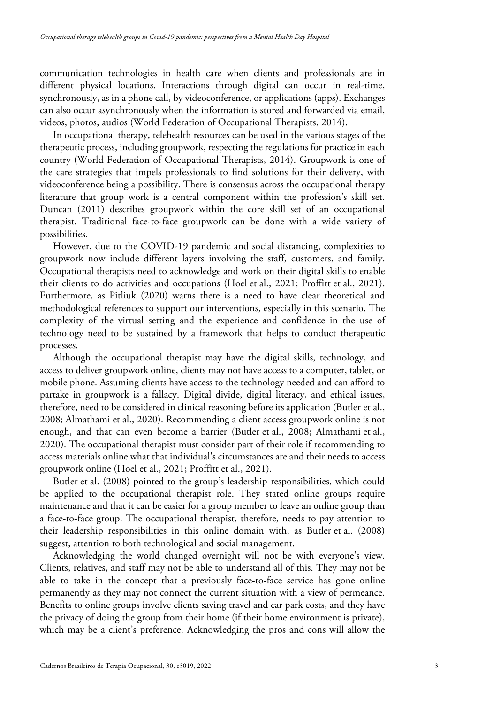communication technologies in health care when clients and professionals are in different physical locations. Interactions through digital can occur in real-time, synchronously, as in a phone call, by videoconference, or applications (apps). Exchanges can also occur asynchronously when the information is stored and forwarded via email, videos, photos, audios (World Federation of Occupational Therapists, 2014).

In occupational therapy, telehealth resources can be used in the various stages of the therapeutic process, including groupwork, respecting the regulations for practice in each country (World Federation of Occupational Therapists, 2014). Groupwork is one of the care strategies that impels professionals to find solutions for their delivery, with videoconference being a possibility. There is consensus across the occupational therapy literature that group work is a central component within the profession's skill set. Duncan (2011) describes groupwork within the core skill set of an occupational therapist. Traditional face-to-face groupwork can be done with a wide variety of possibilities.

However, due to the COVID-19 pandemic and social distancing, complexities to groupwork now include different layers involving the staff, customers, and family. Occupational therapists need to acknowledge and work on their digital skills to enable their clients to do activities and occupations (Hoel et al., 2021; Proffitt et al., 2021). Furthermore, as Pitliuk (2020) warns there is a need to have clear theoretical and methodological references to support our interventions, especially in this scenario. The complexity of the virtual setting and the experience and confidence in the use of technology need to be sustained by a framework that helps to conduct therapeutic processes.

Although the occupational therapist may have the digital skills, technology, and access to deliver groupwork online, clients may not have access to a computer, tablet, or mobile phone. Assuming clients have access to the technology needed and can afford to partake in groupwork is a fallacy. Digital divide, digital literacy, and ethical issues, therefore, need to be considered in clinical reasoning before its application (Butler et al., 2008; Almathami et al., 2020). Recommending a client access groupwork online is not enough, and that can even become a barrier (Butler et al., 2008; Almathami et al., 2020). The occupational therapist must consider part of their role if recommending to access materials online what that individual's circumstances are and their needs to access groupwork online (Hoel et al., 2021; Proffitt et al., 2021).

Butler et al. (2008) pointed to the group's leadership responsibilities, which could be applied to the occupational therapist role. They stated online groups require maintenance and that it can be easier for a group member to leave an online group than a face-to-face group. The occupational therapist, therefore, needs to pay attention to their leadership responsibilities in this online domain with, as Butler et al. (2008) suggest, attention to both technological and social management.

Acknowledging the world changed overnight will not be with everyone's view. Clients, relatives, and staff may not be able to understand all of this. They may not be able to take in the concept that a previously face-to-face service has gone online permanently as they may not connect the current situation with a view of permeance. Benefits to online groups involve clients saving travel and car park costs, and they have the privacy of doing the group from their home (if their home environment is private), which may be a client's preference. Acknowledging the pros and cons will allow the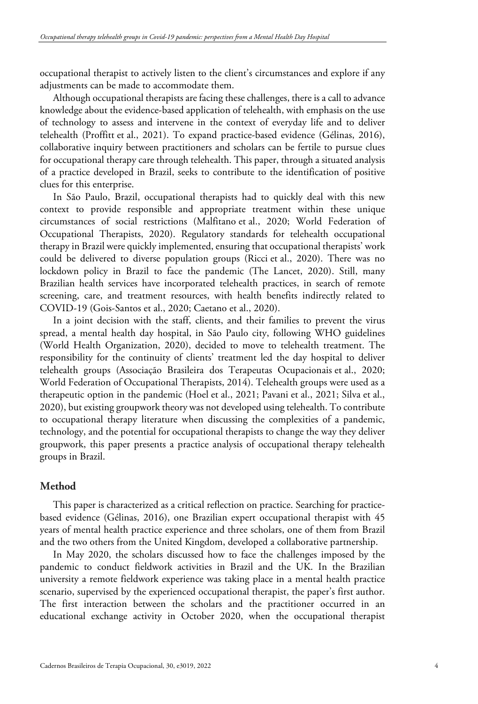occupational therapist to actively listen to the client's circumstances and explore if any adjustments can be made to accommodate them.

Although occupational therapists are facing these challenges, there is a call to advance knowledge about the evidence-based application of telehealth, with emphasis on the use of technology to assess and intervene in the context of everyday life and to deliver telehealth (Proffitt et al., 2021). To expand practice-based evidence (Gélinas, 2016), collaborative inquiry between practitioners and scholars can be fertile to pursue clues for occupational therapy care through telehealth. This paper, through a situated analysis of a practice developed in Brazil, seeks to contribute to the identification of positive clues for this enterprise.

In São Paulo, Brazil, occupational therapists had to quickly deal with this new context to provide responsible and appropriate treatment within these unique circumstances of social restrictions (Malfitano et al., 2020; World Federation of Occupational Therapists, 2020). Regulatory standards for telehealth occupational therapy in Brazil were quickly implemented, ensuring that occupational therapists' work could be delivered to diverse population groups (Ricci et al., 2020). There was no lockdown policy in Brazil to face the pandemic (The Lancet, 2020). Still, many Brazilian health services have incorporated telehealth practices, in search of remote screening, care, and treatment resources, with health benefits indirectly related to COVID-19 (Gois-Santos et al., 2020; Caetano et al., 2020).

In a joint decision with the staff, clients, and their families to prevent the virus spread, a mental health day hospital, in São Paulo city, following WHO guidelines (World Health Organization, 2020), decided to move to telehealth treatment. The responsibility for the continuity of clients' treatment led the day hospital to deliver telehealth groups (Associação Brasileira dos Terapeutas Ocupacionais et al., 2020; World Federation of Occupational Therapists, 2014). Telehealth groups were used as a therapeutic option in the pandemic (Hoel et al., 2021; Pavani et al., 2021; Silva et al., 2020), but existing groupwork theory was not developed using telehealth. To contribute to occupational therapy literature when discussing the complexities of a pandemic, technology, and the potential for occupational therapists to change the way they deliver groupwork, this paper presents a practice analysis of occupational therapy telehealth groups in Brazil.

## **Method**

This paper is characterized as a critical reflection on practice. Searching for practicebased evidence (Gélinas, 2016), one Brazilian expert occupational therapist with 45 years of mental health practice experience and three scholars, one of them from Brazil and the two others from the United Kingdom, developed a collaborative partnership.

In May 2020, the scholars discussed how to face the challenges imposed by the pandemic to conduct fieldwork activities in Brazil and the UK. In the Brazilian university a remote fieldwork experience was taking place in a mental health practice scenario, supervised by the experienced occupational therapist, the paper's first author. The first interaction between the scholars and the practitioner occurred in an educational exchange activity in October 2020, when the occupational therapist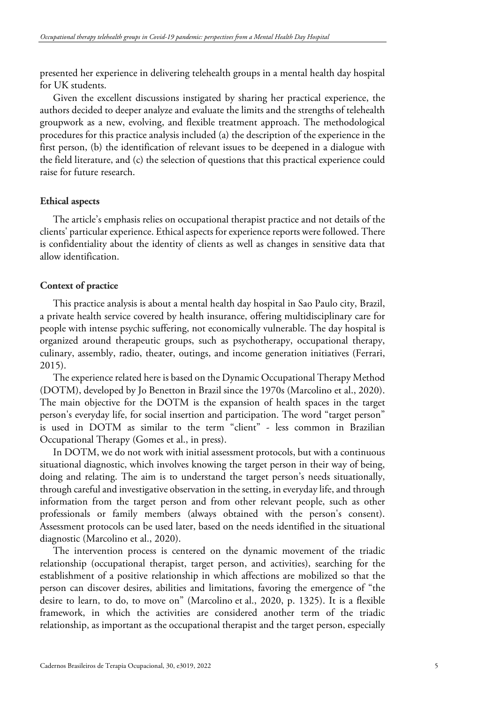presented her experience in delivering telehealth groups in a mental health day hospital for UK students.

Given the excellent discussions instigated by sharing her practical experience, the authors decided to deeper analyze and evaluate the limits and the strengths of telehealth groupwork as a new, evolving, and flexible treatment approach. The methodological procedures for this practice analysis included (a) the description of the experience in the first person, (b) the identification of relevant issues to be deepened in a dialogue with the field literature, and (c) the selection of questions that this practical experience could raise for future research.

# **Ethical aspects**

The article's emphasis relies on occupational therapist practice and not details of the clients' particular experience. Ethical aspects for experience reports were followed. There is confidentiality about the identity of clients as well as changes in sensitive data that allow identification.

# **Context of practice**

This practice analysis is about a mental health day hospital in Sao Paulo city, Brazil, a private health service covered by health insurance, offering multidisciplinary care for people with intense psychic suffering, not economically vulnerable. The day hospital is organized around therapeutic groups, such as psychotherapy, occupational therapy, culinary, assembly, radio, theater, outings, and income generation initiatives (Ferrari, 2015).

The experience related here is based on the Dynamic Occupational Therapy Method (DOTM), developed by Jo Benetton in Brazil since the 1970s (Marcolino et al., 2020). The main objective for the DOTM is the expansion of health spaces in the target person's everyday life, for social insertion and participation. The word "target person" is used in DOTM as similar to the term "client" - less common in Brazilian Occupational Therapy (Gomes et al., in press).

In DOTM, we do not work with initial assessment protocols, but with a continuous situational diagnostic, which involves knowing the target person in their way of being, doing and relating. The aim is to understand the target person's needs situationally, through careful and investigative observation in the setting, in everyday life, and through information from the target person and from other relevant people, such as other professionals or family members (always obtained with the person's consent). Assessment protocols can be used later, based on the needs identified in the situational diagnostic (Marcolino et al., 2020).

The intervention process is centered on the dynamic movement of the triadic relationship (occupational therapist, target person, and activities), searching for the establishment of a positive relationship in which affections are mobilized so that the person can discover desires, abilities and limitations, favoring the emergence of "the desire to learn, to do, to move on" (Marcolino et al., 2020, p. 1325). It is a flexible framework, in which the activities are considered another term of the triadic relationship, as important as the occupational therapist and the target person, especially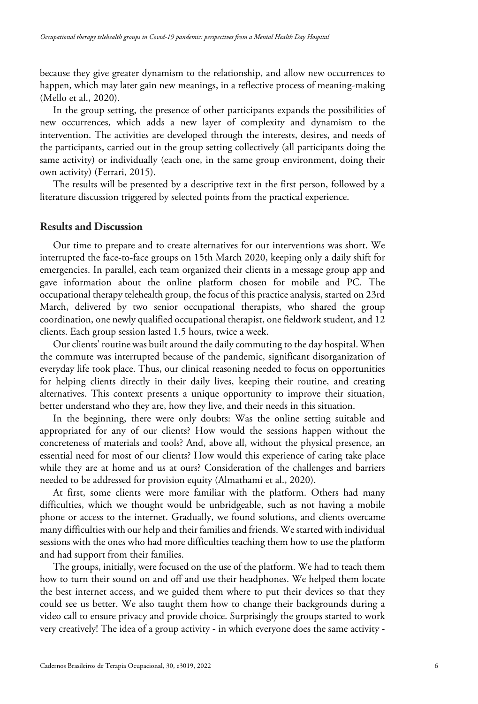because they give greater dynamism to the relationship, and allow new occurrences to happen, which may later gain new meanings, in a reflective process of meaning-making (Mello et al., 2020).

In the group setting, the presence of other participants expands the possibilities of new occurrences, which adds a new layer of complexity and dynamism to the intervention. The activities are developed through the interests, desires, and needs of the participants, carried out in the group setting collectively (all participants doing the same activity) or individually (each one, in the same group environment, doing their own activity) (Ferrari, 2015).

The results will be presented by a descriptive text in the first person, followed by a literature discussion triggered by selected points from the practical experience.

#### **Results and Discussion**

Our time to prepare and to create alternatives for our interventions was short. We interrupted the face-to-face groups on 15th March 2020, keeping only a daily shift for emergencies. In parallel, each team organized their clients in a message group app and gave information about the online platform chosen for mobile and PC. The occupational therapy telehealth group, the focus of this practice analysis, started on 23rd March, delivered by two senior occupational therapists, who shared the group coordination, one newly qualified occupational therapist, one fieldwork student, and 12 clients. Each group session lasted 1.5 hours, twice a week.

Our clients' routine was built around the daily commuting to the day hospital. When the commute was interrupted because of the pandemic, significant disorganization of everyday life took place. Thus, our clinical reasoning needed to focus on opportunities for helping clients directly in their daily lives, keeping their routine, and creating alternatives. This context presents a unique opportunity to improve their situation, better understand who they are, how they live, and their needs in this situation.

In the beginning, there were only doubts: Was the online setting suitable and appropriated for any of our clients? How would the sessions happen without the concreteness of materials and tools? And, above all, without the physical presence, an essential need for most of our clients? How would this experience of caring take place while they are at home and us at ours? Consideration of the challenges and barriers needed to be addressed for provision equity (Almathami et al., 2020).

At first, some clients were more familiar with the platform. Others had many difficulties, which we thought would be unbridgeable, such as not having a mobile phone or access to the internet. Gradually, we found solutions, and clients overcame many difficulties with our help and their families and friends. We started with individual sessions with the ones who had more difficulties teaching them how to use the platform and had support from their families.

The groups, initially, were focused on the use of the platform. We had to teach them how to turn their sound on and off and use their headphones. We helped them locate the best internet access, and we guided them where to put their devices so that they could see us better. We also taught them how to change their backgrounds during a video call to ensure privacy and provide choice. Surprisingly the groups started to work very creatively! The idea of a group activity - in which everyone does the same activity -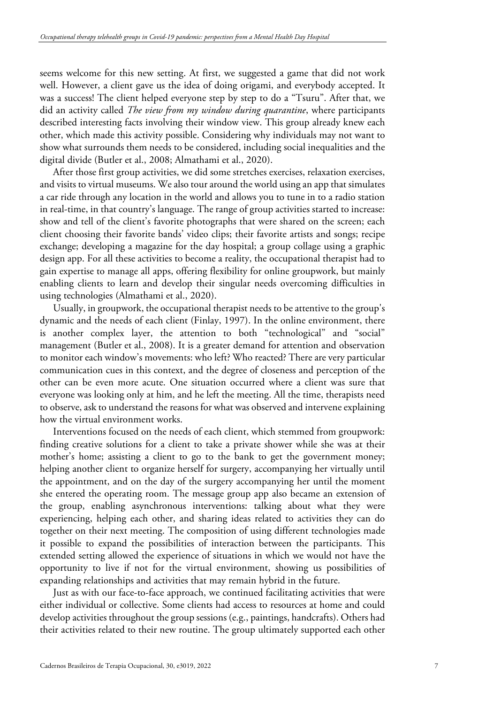seems welcome for this new setting. At first, we suggested a game that did not work well. However, a client gave us the idea of doing origami, and everybody accepted. It was a success! The client helped everyone step by step to do a "Tsuru". After that, we did an activity called *The view from my window during quarantine*, where participants described interesting facts involving their window view. This group already knew each other, which made this activity possible. Considering why individuals may not want to show what surrounds them needs to be considered, including social inequalities and the digital divide (Butler et al., 2008; Almathami et al., 2020).

After those first group activities, we did some stretches exercises, relaxation exercises, and visits to virtual museums. We also tour around the world using an app that simulates a car ride through any location in the world and allows you to tune in to a radio station in real-time, in that country's language. The range of group activities started to increase: show and tell of the client's favorite photographs that were shared on the screen; each client choosing their favorite bands' video clips; their favorite artists and songs; recipe exchange; developing a magazine for the day hospital; a group collage using a graphic design app. For all these activities to become a reality, the occupational therapist had to gain expertise to manage all apps, offering flexibility for online groupwork, but mainly enabling clients to learn and develop their singular needs overcoming difficulties in using technologies (Almathami et al., 2020).

Usually, in groupwork, the occupational therapist needs to be attentive to the group's dynamic and the needs of each client (Finlay, 1997). In the online environment, there is another complex layer, the attention to both "technological" and "social" management (Butler et al., 2008). It is a greater demand for attention and observation to monitor each window's movements: who left? Who reacted? There are very particular communication cues in this context, and the degree of closeness and perception of the other can be even more acute. One situation occurred where a client was sure that everyone was looking only at him, and he left the meeting. All the time, therapists need to observe, ask to understand the reasons for what was observed and intervene explaining how the virtual environment works.

Interventions focused on the needs of each client, which stemmed from groupwork: finding creative solutions for a client to take a private shower while she was at their mother's home; assisting a client to go to the bank to get the government money; helping another client to organize herself for surgery, accompanying her virtually until the appointment, and on the day of the surgery accompanying her until the moment she entered the operating room. The message group app also became an extension of the group, enabling asynchronous interventions: talking about what they were experiencing, helping each other, and sharing ideas related to activities they can do together on their next meeting. The composition of using different technologies made it possible to expand the possibilities of interaction between the participants. This extended setting allowed the experience of situations in which we would not have the opportunity to live if not for the virtual environment, showing us possibilities of expanding relationships and activities that may remain hybrid in the future.

Just as with our face-to-face approach, we continued facilitating activities that were either individual or collective. Some clients had access to resources at home and could develop activities throughout the group sessions (e.g., paintings, handcrafts). Others had their activities related to their new routine. The group ultimately supported each other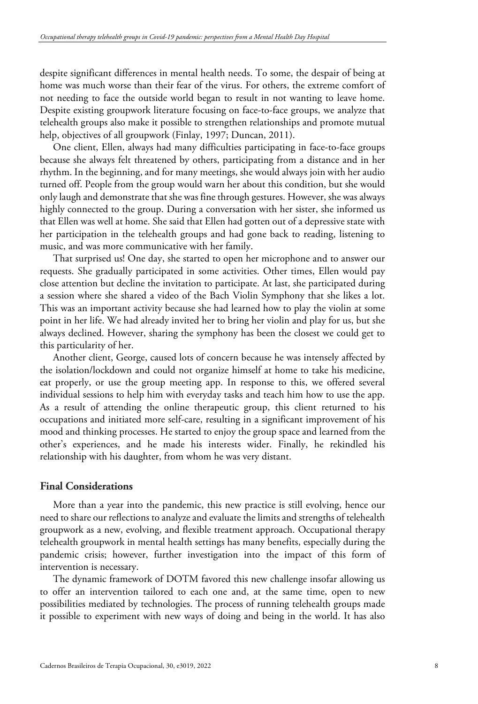despite significant differences in mental health needs. To some, the despair of being at home was much worse than their fear of the virus. For others, the extreme comfort of not needing to face the outside world began to result in not wanting to leave home. Despite existing groupwork literature focusing on face-to-face groups, we analyze that telehealth groups also make it possible to strengthen relationships and promote mutual help, objectives of all groupwork (Finlay, 1997; Duncan, 2011).

One client, Ellen, always had many difficulties participating in face-to-face groups because she always felt threatened by others, participating from a distance and in her rhythm. In the beginning, and for many meetings, she would always join with her audio turned off. People from the group would warn her about this condition, but she would only laugh and demonstrate that she was fine through gestures. However, she was always highly connected to the group. During a conversation with her sister, she informed us that Ellen was well at home. She said that Ellen had gotten out of a depressive state with her participation in the telehealth groups and had gone back to reading, listening to music, and was more communicative with her family.

That surprised us! One day, she started to open her microphone and to answer our requests. She gradually participated in some activities. Other times, Ellen would pay close attention but decline the invitation to participate. At last, she participated during a session where she shared a video of the Bach Violin Symphony that she likes a lot. This was an important activity because she had learned how to play the violin at some point in her life. We had already invited her to bring her violin and play for us, but she always declined. However, sharing the symphony has been the closest we could get to this particularity of her.

Another client, George, caused lots of concern because he was intensely affected by the isolation/lockdown and could not organize himself at home to take his medicine, eat properly, or use the group meeting app. In response to this, we offered several individual sessions to help him with everyday tasks and teach him how to use the app. As a result of attending the online therapeutic group, this client returned to his occupations and initiated more self-care, resulting in a significant improvement of his mood and thinking processes. He started to enjoy the group space and learned from the other's experiences, and he made his interests wider. Finally, he rekindled his relationship with his daughter, from whom he was very distant.

## **Final Considerations**

More than a year into the pandemic, this new practice is still evolving, hence our need to share our reflections to analyze and evaluate the limits and strengths of telehealth groupwork as a new, evolving, and flexible treatment approach. Occupational therapy telehealth groupwork in mental health settings has many benefits, especially during the pandemic crisis; however, further investigation into the impact of this form of intervention is necessary.

The dynamic framework of DOTM favored this new challenge insofar allowing us to offer an intervention tailored to each one and, at the same time, open to new possibilities mediated by technologies. The process of running telehealth groups made it possible to experiment with new ways of doing and being in the world. It has also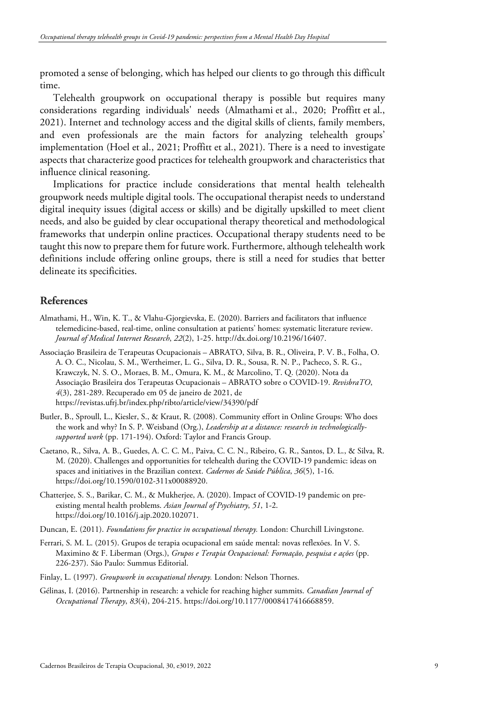promoted a sense of belonging, which has helped our clients to go through this difficult time.

Telehealth groupwork on occupational therapy is possible but requires many considerations regarding individuals' needs (Almathami et al., 2020; Proffitt et al., 2021). Internet and technology access and the digital skills of clients, family members, and even professionals are the main factors for analyzing telehealth groups' implementation (Hoel et al., 2021; Proffitt et al., 2021). There is a need to investigate aspects that characterize good practices for telehealth groupwork and characteristics that influence clinical reasoning.

Implications for practice include considerations that mental health telehealth groupwork needs multiple digital tools. The occupational therapist needs to understand digital inequity issues (digital access or skills) and be digitally upskilled to meet client needs, and also be guided by clear occupational therapy theoretical and methodological frameworks that underpin online practices. Occupational therapy students need to be taught this now to prepare them for future work. Furthermore, although telehealth work definitions include offering online groups, there is still a need for studies that better delineate its specificities.

## **References**

- Almathami, H., Win, K. T., & Vlahu-Gjorgievska, E. (2020). Barriers and facilitators that influence telemedicine-based, real-time, online consultation at patients' homes: systematic literature review. *Journal of Medical Internet Research*, *22*(2), 1-25. http://dx.doi.org/10.2196/16407.
- Associação Brasileira de Terapeutas Ocupacionais ABRATO, Silva, B. R., Oliveira, P. V. B., Folha, O. A. O. C., Nicolau, S. M., Wertheimer, L. G., Silva, D. R., Sousa, R. N. P., Pacheco, S. R. G., Krawczyk, N. S. O., Moraes, B. M., Omura, K. M., & Marcolino, T. Q. (2020). Nota da Associação Brasileira dos Terapeutas Ocupacionais – ABRATO sobre o COVID-19. *RevisbraTO*, *4*(3), 281-289. Recuperado em 05 de janeiro de 2021, de https://revistas.ufrj.br/index.php/ribto/article/view/34390/pdf
- Butler, B., Sproull, L., Kiesler, S., & Kraut, R. (2008). Community effort in Online Groups: Who does the work and why? In S. P. Weisband (Org.), *Leadership at a distance: research in technologicallysupported work* (pp. 171-194). Oxford: Taylor and Francis Group.
- Caetano, R., Silva, A. B., Guedes, A. C. C. M., Paiva, C. C. N., Ribeiro, G. R., Santos, D. L., & Silva, R. M. (2020). Challenges and opportunities for telehealth during the COVID-19 pandemic: ideas on spaces and initiatives in the Brazilian context. *Cadernos de Saúde Pública*, *36*(5), 1-16. https://doi.org/10.1590/0102-311x00088920.
- Chatterjee, S. S., Barikar, C. M., & Mukherjee, A. (2020). Impact of COVID-19 pandemic on preexisting mental health problems. *Asian Journal of Psychiatry*, *51*, 1-2. https://doi.org/10.1016/j.ajp.2020.102071.
- Duncan, E. (2011). *Foundations for practice in occupational therapy.* London: Churchill Livingstone.
- Ferrari, S. M. L. (2015). Grupos de terapia ocupacional em saúde mental: novas reflexões. In V. S. Maximino & F. Liberman (Orgs.), *Grupos e Terapia Ocupacional: Formação, pesquisa e ações* (pp. 226-237). São Paulo: Summus Editorial.
- Finlay, L. (1997). *Groupwork in occupational therapy.* London: Nelson Thornes.
- Gélinas, I. (2016). Partnership in research: a vehicle for reaching higher summits. *Canadian Journal of Occupational Therapy*, *83*(4), 204-215. https://doi.org/10.1177/0008417416668859.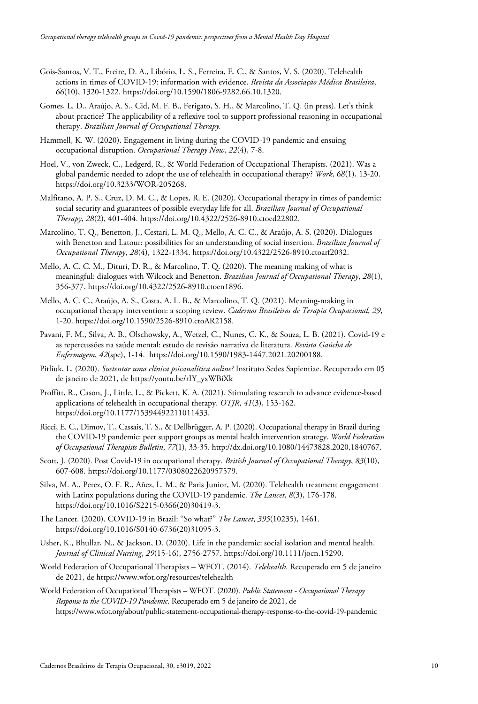- Gois-Santos, V. T., Freire, D. A., Libório, L. S., Ferreira, E. C., & Santos, V. S. (2020). Telehealth actions in times of COVID-19: information with evidence. *Revista da Associação Médica Brasileira*, *66*(10), 1320-1322. https://doi.org/10.1590/1806-9282.66.10.1320.
- Gomes, L. D., Araújo, A. S., Cid, M. F. B., Ferigato, S. H., & Marcolino, T. Q. (in press). Let's think about practice? The applicability of a reflexive tool to support professional reasoning in occupational therapy. *Brazilian Journal of Occupational Therapy.*
- Hammell, K. W. (2020). Engagement in living during the COVID-19 pandemic and ensuing occupational disruption. *Occupational Therapy Now*, *22*(4), 7-8.
- Hoel, V., von Zweck, C., Ledgerd, R., & World Federation of Occupational Therapists. (2021). Was a global pandemic needed to adopt the use of telehealth in occupational therapy? *Work*, *68*(1), 13-20. https://doi.org/10.3233/WOR-205268.
- Malfitano, A. P. S., Cruz, D. M. C., & Lopes, R. E. (2020). Occupational therapy in times of pandemic: social security and guarantees of possible everyday life for all. *Brazilian Journal of Occupational Therapy*, *28*(2), 401-404. https://doi.org/10.4322/2526-8910.ctoed22802.
- Marcolino, T. Q., Benetton, J., Cestari, L. M. Q., Mello, A. C. C., & Araújo, A. S. (2020). Dialogues with Benetton and Latour: possibilities for an understanding of social insertion. *Brazilian Journal of Occupational Therapy*, *28*(4), 1322-1334. https://doi.org/10.4322/2526-8910.ctoarf2032.
- Mello, A. C. C. M., Dituri, D. R., & Marcolino, T. Q. (2020). The meaning making of what is meaningful: dialogues with Wilcock and Benetton. *Brazilian Journal of Occupational Therapy*, *28*(1), 356-377. https://doi.org/10.4322/2526-8910.ctoen1896.
- Mello, A. C. C., Araújo, A. S., Costa, A. L. B., & Marcolino, T. Q. (2021). Meaning-making in occupational therapy intervention: a scoping review. *Cadernos Brasileiros de Terapia Ocupacional*, *29*, 1-20. https://doi.org/10.1590/2526-8910.ctoAR2158.
- Pavani, F. M., Silva, A. B., Olschowsky, A., Wetzel, C., Nunes, C. K., & Souza, L. B. (2021). Covid-19 e as repercussões na saúde mental: estudo de revisão narrativa de literatura. *Revista Gaúcha de Enfermagem*, *42*(spe), 1-14. https://doi.org/10.1590/1983-1447.2021.20200188.
- Pitliuk, L. (2020). *Sustentar uma clínica psicanalítica online?* Instituto Sedes Sapientiae. Recuperado em 05 de janeiro de 2021, de https://youtu.be/rIY\_yxWBiXk
- Proffitt, R., Cason, J., Little, L., & Pickett, K. A. (2021). Stimulating research to advance evidence-based applications of telehealth in occupational therapy. *OTJR*, *41*(3), 153-162. https://doi.org/10.1177/15394492211011433.
- Ricci, E. C., Dimov, T., Cassais, T. S., & Dellbrügger, A. P. (2020). Occupational therapy in Brazil during the COVID-19 pandemic: peer support groups as mental health intervention strategy. *World Federation of Occupational Therapists Bulletin*, *77*(1), 33-35. http://dx.doi.org/10.1080/14473828.2020.1840767.
- Scott, J. (2020). Post Covid-19 in occupational therapy. *British Journal of Occupational Therapy*, *83*(10), 607-608. https://doi.org/10.1177/0308022620957579.
- Silva, M. A., Perez, O. F. R., Añez, L. M., & Paris Junior, M. (2020). Telehealth treatment engagement with Latinx populations during the COVID-19 pandemic. *The Lancet*, *8*(3), 176-178. https://doi.org/10.1016/S2215-0366(20)30419-3.
- The Lancet. (2020). COVID-19 in Brazil: "So what?" *The Lancet*, *395*(10235), 1461. https://doi.org/10.1016/S0140-6736(20)31095-3.
- Usher, K., Bhullar, N., & Jackson, D. (2020). Life in the pandemic: social isolation and mental health. *Journal of Clinical Nursing*, *29*(15-16), 2756-2757. https://doi.org/10.1111/jocn.15290.
- World Federation of Occupational Therapists WFOT. (2014). *Telehealth*. Recuperado em 5 de janeiro de 2021, de https://www.wfot.org/resources/telehealth
- World Federation of Occupational Therapists WFOT. (2020). *Public Statement - Occupational Therapy Response to the COVID-19 Pandemic*. Recuperado em 5 de janeiro de 2021, de https://www.wfot.org/about/public-statement-occupational-therapy-response-to-the-covid-19-pandemic